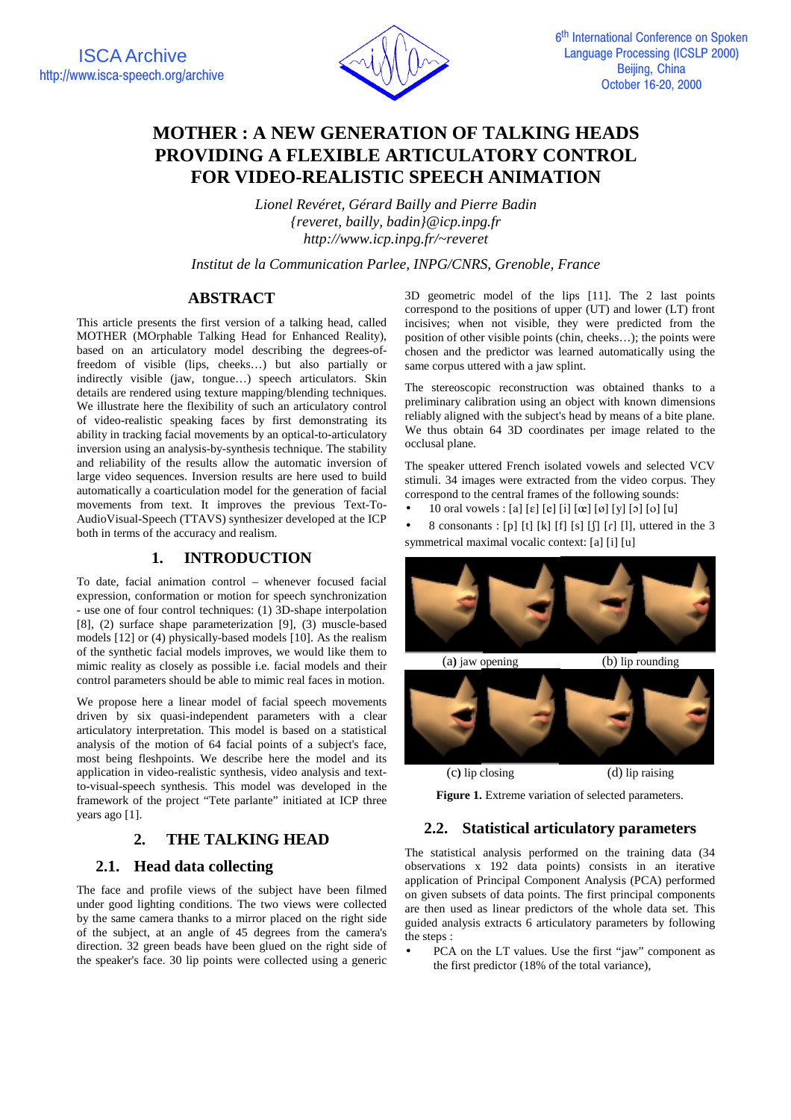

# **MOTHER : A NEW GENERATION OF TALKING HEADS PROVIDING A FLEXIBLE ARTICULATORY CONTROL FOR VIDEO-REALISTIC SPEECH ANIMATION**

*Lionel Revéret, Gérard Bailly and Pierre Badin {reveret, bailly, badin}@icp.inpg.fr http://www.icp.inpg.fr/~reveret*

*Institut de la Communication Parlee, INPG/CNRS, Grenoble, France*

# **ABSTRACT**

This article presents the first version of a talking head, called MOTHER (MOrphable Talking Head for Enhanced Reality), based on an articulatory model describing the degrees-offreedom of visible (lips, cheeks…) but also partially or indirectly visible (jaw, tongue…) speech articulators. Skin details are rendered using texture mapping/blending techniques. We illustrate here the flexibility of such an articulatory control of video-realistic speaking faces by first demonstrating its ability in tracking facial movements by an optical-to-articulatory inversion using an analysis-by-synthesis technique. The stability and reliability of the results allow the automatic inversion of large video sequences. Inversion results are here used to build automatically a coarticulation model for the generation of facial movements from text. It improves the previous Text-To-AudioVisual-Speech (TTAVS) synthesizer developed at the ICP both in terms of the accuracy and realism.

## **1. INTRODUCTION**

To date, facial animation control – whenever focused facial expression, conformation or motion for speech synchronization - use one of four control techniques: (1) 3D-shape interpolation [8], (2) surface shape parameterization [9], (3) muscle-based models [12] or (4) physically-based models [10]. As the realism of the synthetic facial models improves, we would like them to mimic reality as closely as possible i.e. facial models and their control parameters should be able to mimic real faces in motion.

We propose here a linear model of facial speech movements driven by six quasi-independent parameters with a clear articulatory interpretation. This model is based on a statistical analysis of the motion of 64 facial points of a subject's face, most being fleshpoints. We describe here the model and its application in video-realistic synthesis, video analysis and textto-visual-speech synthesis. This model was developed in the framework of the project "Tete parlante" initiated at ICP three years ago [1].

# **2. THE TALKING HEAD**

### **2.1. Head data collecting**

The face and profile views of the subject have been filmed under good lighting conditions. The two views were collected by the same camera thanks to a mirror placed on the right side of the subject, at an angle of 45 degrees from the camera's direction. 32 green beads have been glued on the right side of the speaker's face. 30 lip points were collected using a generic

3D geometric model of the lips [11]. The 2 last points correspond to the positions of upper (UT) and lower (LT) front incisives; when not visible, they were predicted from the position of other visible points (chin, cheeks…); the points were chosen and the predictor was learned automatically using the same corpus uttered with a jaw splint.

The stereoscopic reconstruction was obtained thanks to a preliminary calibration using an object with known dimensions reliably aligned with the subject's head by means of a bite plane. We thus obtain 64 3D coordinates per image related to the occlusal plane.

The speaker uttered French isolated vowels and selected VCV stimuli. 34 images were extracted from the video corpus. They correspond to the central frames of the following sounds:

• 10 oral vowels : [a] [ $\varepsilon$ ] [ $e$ ] [i] [ $\alpha$ ] [ $\sigma$ ] [y] [o] [u]

• 8 consonants : [p] [t] [k] [f] [s] [ $\int$ ] [r] [l], uttered in the 3 symmetrical maximal vocalic context: [a] [i] [u]



Figure 1. Extreme variation of selected parameters.

# **2.2. Statistical articulatory parameters**

The statistical analysis performed on the training data (34 observations x 192 data points) consists in an iterative application of Principal Component Analysis (PCA) performed on given subsets of data points. The first principal components are then used as linear predictors of the whole data set. This guided analysis extracts 6 articulatory parameters by following the steps :

PCA on the LT values. Use the first "jaw" component as the first predictor (18% of the total variance),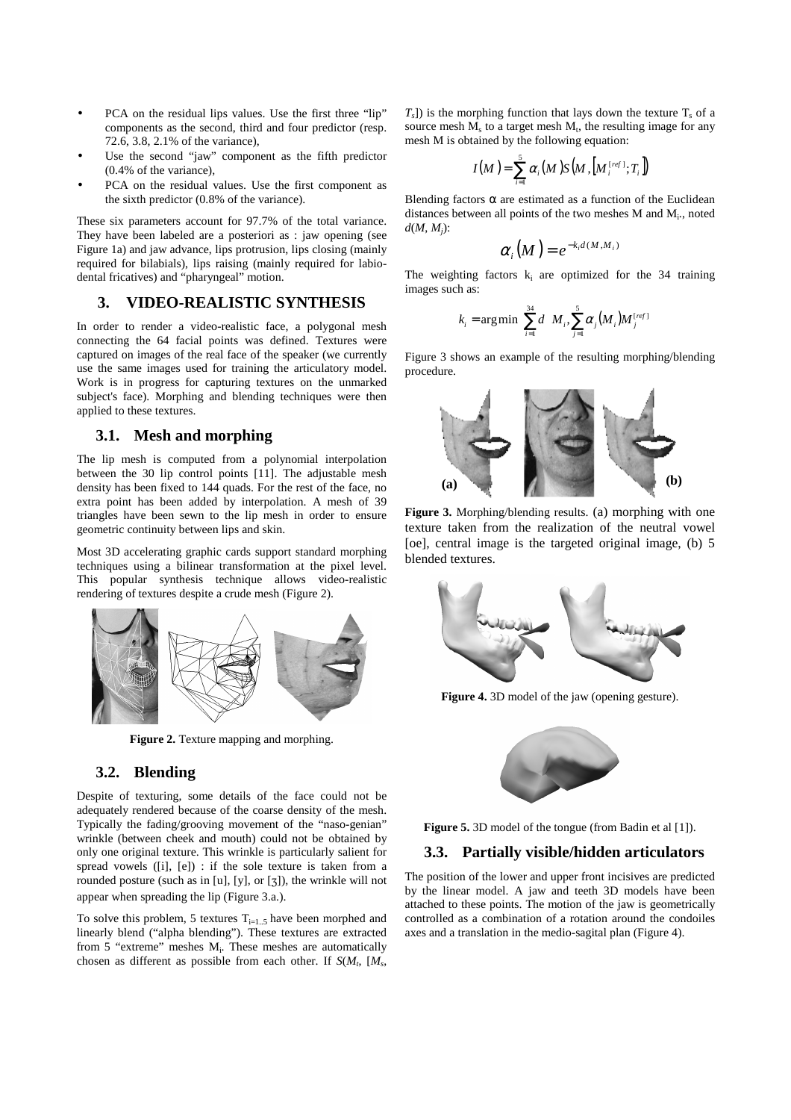- PCA on the residual lips values. Use the first three "lip" components as the second, third and four predictor (resp. 72.6, 3.8, 2.1% of the variance),
- Use the second "jaw" component as the fifth predictor (0.4% of the variance),
- PCA on the residual values. Use the first component as the sixth predictor (0.8% of the variance).

These six parameters account for 97.7% of the total variance. They have been labeled are a posteriori as : jaw opening (see Figure 1a) and jaw advance, lips protrusion, lips closing (mainly required for bilabials), lips raising (mainly required for labiodental fricatives) and "pharyngeal" motion.

#### **3. VIDEO-REALISTIC SYNTHESIS**

In order to render a video-realistic face, a polygonal mesh connecting the 64 facial points was defined. Textures were captured on images of the real face of the speaker (we currently use the same images used for training the articulatory model. Work is in progress for capturing textures on the unmarked subject's face). Morphing and blending techniques were then applied to these textures.

#### **3.1. Mesh and morphing**

The lip mesh is computed from a polynomial interpolation between the 30 lip control points [11]. The adjustable mesh density has been fixed to 144 quads. For the rest of the face, no extra point has been added by interpolation. A mesh of 39 triangles have been sewn to the lip mesh in order to ensure geometric continuity between lips and skin.

Most 3D accelerating graphic cards support standard morphing techniques using a bilinear transformation at the pixel level. This popular synthesis technique allows video-realistic rendering of textures despite a crude mesh (Figure 2).



**Figure 2.** Texture mapping and morphing.

#### **3.2. Blending**

Despite of texturing, some details of the face could not be adequately rendered because of the coarse density of the mesh. Typically the fading/grooving movement of the "naso-genian" wrinkle (between cheek and mouth) could not be obtained by only one original texture. This wrinkle is particularly salient for spread vowels ([i], [e]) : if the sole texture is taken from a rounded posture (such as in [u], [y], or [3]), the wrinkle will not appear when spreading the lip (Figure 3.a.).

To solve this problem, 5 textures  $T_{i=1..5}$  have been morphed and linearly blend ("alpha blending"). These textures are extracted from 5 "extreme" meshes M<sub>i</sub>. These meshes are automatically chosen as different as possible from each other. If  $S(M_t, M_s)$ ,  $T<sub>s</sub>$ ) is the morphing function that lays down the texture  $T<sub>s</sub>$  of a source mesh  $M<sub>s</sub>$  to a target mesh  $M<sub>t</sub>$ , the resulting image for any mesh M is obtained by the following equation:

$$
I(M)=\sum_{i=1}^5\alpha_i(M)\mathrm{S}\big(M,[M_i^{\text{[ref]}};T_i]\big)
$$

Blending factors  $\alpha$  are estimated as a function of the Euclidean distances between all points of the two meshes  $M$  and  $M_i$ , noted *d*(*M*, *Mj*):

$$
\alpha_i(M)=e^{-k_i d(M,M_i)}
$$

The weighting factors  $k_i$  are optimized for the 34 training images such as:

$$
k_i = \arg\min\left[\sum_{i=1}^{34} d\left(M_i, \sum_{j=1}^{5} \alpha_j (M_i) M_j^{[reg]}\right)\right]
$$

Figure 3 shows an example of the resulting morphing/blending procedure.



**Figure 3.** Morphing/blending results. (a) morphing with one texture taken from the realization of the neutral vowel [oe], central image is the targeted original image, (b) 5 blended textures.



**Figure 4.** 3D model of the jaw (opening gesture).



**Figure 5.** 3D model of the tongue (from Badin et al [1]).

#### **3.3. Partially visible/hidden articulators**

The position of the lower and upper front incisives are predicted by the linear model. A jaw and teeth 3D models have been attached to these points. The motion of the jaw is geometrically controlled as a combination of a rotation around the condoiles axes and a translation in the medio-sagital plan (Figure 4).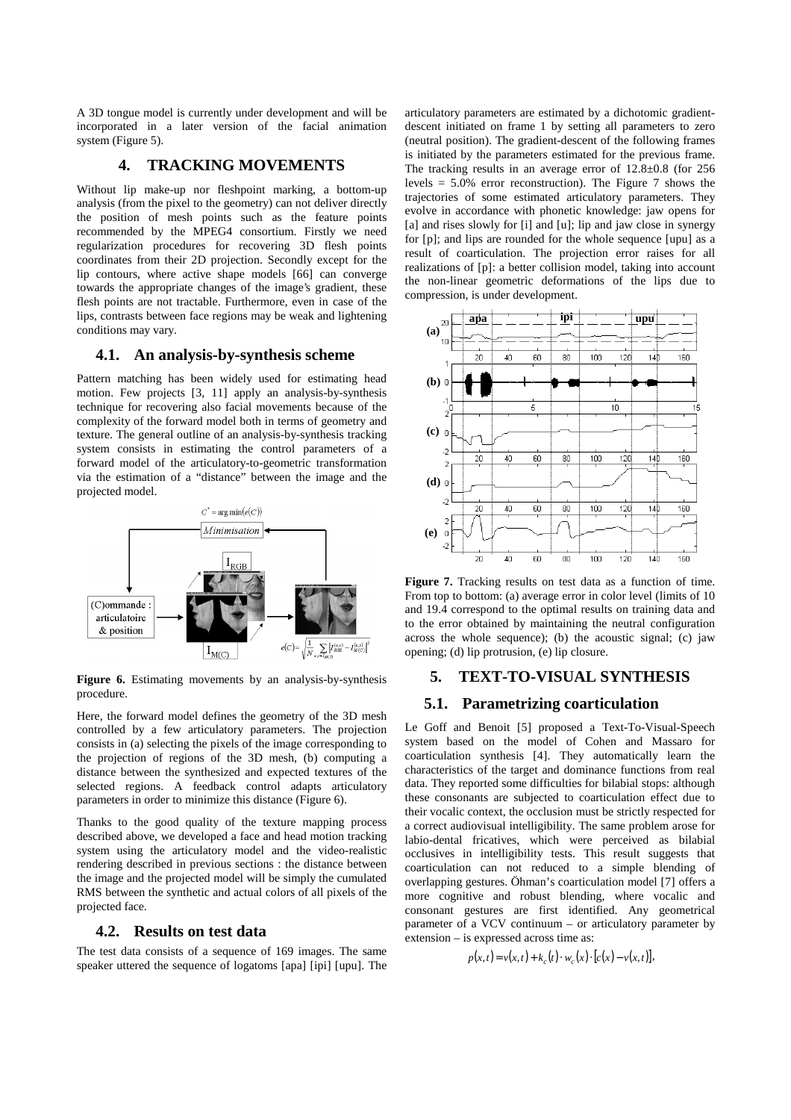A 3D tongue model is currently under development and will be incorporated in a later version of the facial animation system (Figure 5).

#### **4. TRACKING MOVEMENTS**

Without lip make-up nor fleshpoint marking, a bottom-up analysis (from the pixel to the geometry) can not deliver directly the position of mesh points such as the feature points recommended by the MPEG4 consortium. Firstly we need regularization procedures for recovering 3D flesh points coordinates from their 2D projection. Secondly except for the lip contours, where active shape models [66] can converge towards the appropriate changes of the image's gradient, these flesh points are not tractable. Furthermore, even in case of the lips, contrasts between face regions may be weak and lightening conditions may vary.

#### **4.1. An analysis-by-synthesis scheme**

Pattern matching has been widely used for estimating head motion. Few projects [3, 11] apply an analysis-by-synthesis technique for recovering also facial movements because of the complexity of the forward model both in terms of geometry and texture. The general outline of an analysis-by-synthesis tracking system consists in estimating the control parameters of a forward model of the articulatory-to-geometric transformation via the estimation of a "distance" between the image and the projected model.



Figure 6. Estimating movements by an analysis-by-synthesis procedure.

Here, the forward model defines the geometry of the 3D mesh controlled by a few articulatory parameters. The projection consists in (a) selecting the pixels of the image corresponding to the projection of regions of the 3D mesh, (b) computing a distance between the synthesized and expected textures of the selected regions. A feedback control adapts articulatory parameters in order to minimize this distance (Figure 6).

Thanks to the good quality of the texture mapping process described above, we developed a face and head motion tracking system using the articulatory model and the video-realistic rendering described in previous sections : the distance between the image and the projected model will be simply the cumulated RMS between the synthetic and actual colors of all pixels of the projected face.

#### **4.2. Results on test data**

The test data consists of a sequence of 169 images. The same speaker uttered the sequence of logatoms [apa] [ipi] [upu]. The articulatory parameters are estimated by a dichotomic gradientdescent initiated on frame 1 by setting all parameters to zero (neutral position). The gradient-descent of the following frames is initiated by the parameters estimated for the previous frame. The tracking results in an average error of 12.8±0.8 (for 256 levels  $= 5.0\%$  error reconstruction). The Figure 7 shows the trajectories of some estimated articulatory parameters. They evolve in accordance with phonetic knowledge: jaw opens for [a] and rises slowly for [i] and [u]; lip and jaw close in synergy for [p]; and lips are rounded for the whole sequence [upu] as a result of coarticulation. The projection error raises for all realizations of [p]: a better collision model, taking into account the non-linear geometric deformations of the lips due to compression, is under development.



Figure 7. Tracking results on test data as a function of time. From top to bottom: (a) average error in color level (limits of 10 and 19.4 correspond to the optimal results on training data and to the error obtained by maintaining the neutral configuration across the whole sequence); (b) the acoustic signal; (c) jaw opening; (d) lip protrusion, (e) lip closure.

#### **5. TEXT-TO-VISUAL SYNTHESIS**

#### **5.1. Parametrizing coarticulation**

Le Goff and Benoit [5] proposed a Text-To-Visual-Speech system based on the model of Cohen and Massaro for coarticulation synthesis [4]. They automatically learn the characteristics of the target and dominance functions from real data. They reported some difficulties for bilabial stops: although these consonants are subjected to coarticulation effect due to their vocalic context, the occlusion must be strictly respected for a correct audiovisual intelligibility. The same problem arose for labio-dental fricatives, which were perceived as bilabial occlusives in intelligibility tests. This result suggests that coarticulation can not reduced to a simple blending of overlapping gestures. Öhman's coarticulation model [7] offers a more cognitive and robust blending, where vocalic and consonant gestures are first identified. Any geometrical parameter of a VCV continuum – or articulatory parameter by extension – is expressed across time as:

$$
p(x,t) = v(x,t) + k_c(t) \cdot w_c(x) \cdot [c(x) - v(x,t)],
$$